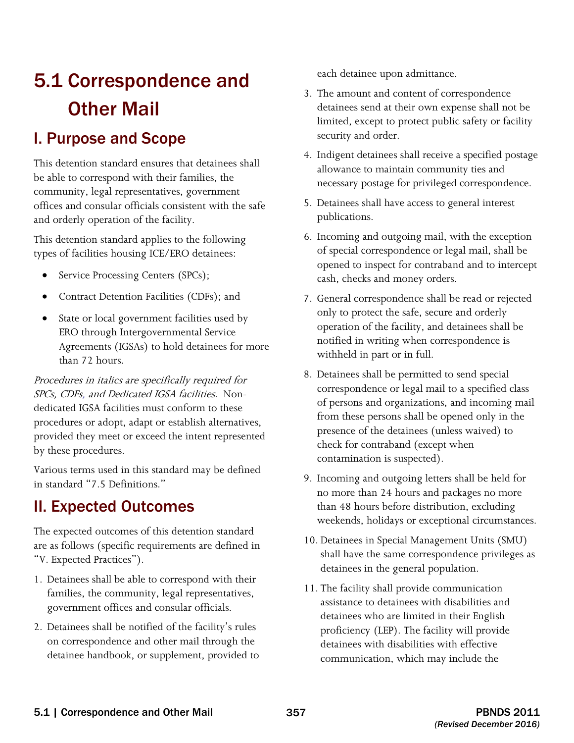# 5.1 Correspondence and Other Mail

# I. Purpose and Scope

This detention standard ensures that detainees shall be able to correspond with their families, the community, legal representatives, government offices and consular officials consistent with the safe and orderly operation of the facility.

This detention standard applies to the following types of facilities housing ICE/ERO detainees:

- Service Processing Centers (SPCs);
- Contract Detention Facilities (CDFs); and
- State or local government facilities used by ERO through Intergovernmental Service Agreements (IGSAs) to hold detainees for more than 72 hours.

Procedures in italics are specifically required for SPCs, CDFs, and Dedicated IGSA facilities. Nondedicated IGSA facilities must conform to these procedures or adopt, adapt or establish alternatives, provided they meet or exceed the intent represented by these procedures.

Various terms used in this standard may be defined in standard "7.5 Definitions."

# II. Expected Outcomes

The expected outcomes of this detention standard are as follows (specific requirements are defined in "V. Expected Practices").

- 1. Detainees shall be able to correspond with their families, the community, legal representatives, government offices and consular officials.
- 2. Detainees shall be notified of the facility's rules on correspondence and other mail through the detainee handbook, or supplement, provided to

each detainee upon admittance.

- 3. The amount and content of correspondence detainees send at their own expense shall not be limited, except to protect public safety or facility security and order.
- 4. Indigent detainees shall receive a specified postage allowance to maintain community ties and necessary postage for privileged correspondence.
- 5. Detainees shall have access to general interest publications.
- 6. Incoming and outgoing mail, with the exception of special correspondence or legal mail, shall be opened to inspect for contraband and to intercept cash, checks and money orders.
- 7. General correspondence shall be read or rejected only to protect the safe, secure and orderly operation of the facility, and detainees shall be notified in writing when correspondence is withheld in part or in full.
- 8. Detainees shall be permitted to send special correspondence or legal mail to a specified class of persons and organizations, and incoming mail from these persons shall be opened only in the presence of the detainees (unless waived) to check for contraband (except when contamination is suspected).
- 9. Incoming and outgoing letters shall be held for no more than 24 hours and packages no more than 48 hours before distribution, excluding weekends, holidays or exceptional circumstances.
- 10. Detainees in Special Management Units (SMU) shall have the same correspondence privileges as detainees in the general population.
- 11. The facility shall provide communication assistance to detainees with disabilities and detainees who are limited in their English proficiency (LEP). The facility will provide detainees with disabilities with effective communication, which may include the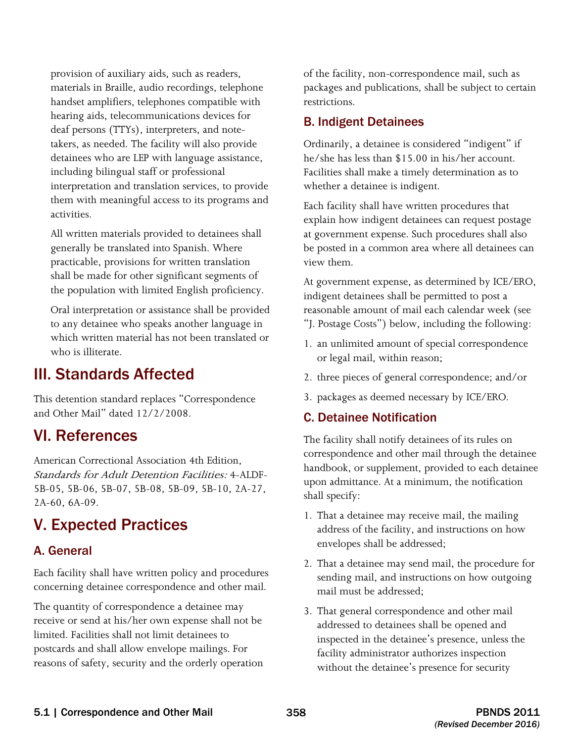provision of auxiliary aids, such as readers, materials in Braille, audio recordings, telephone handset amplifiers, telephones compatible with hearing aids, telecommunications devices for deaf persons (TTYs), interpreters, and notetakers, as needed. The facility will also provide detainees who are LEP with language assistance, including bilingual staff or professional interpretation and translation services, to provide them with meaningful access to its programs and activities.

All written materials provided to detainees shall generally be translated into Spanish. Where practicable, provisions for written translation shall be made for other significant segments of the population with limited English proficiency.

Oral interpretation or assistance shall be provided to any detainee who speaks another language in which written material has not been translated or who is illiterate.

# III. Standards Affected

This detention standard replaces "Correspondence and Other Mail" dated 12/2/2008.

# VI. References

Standards for Adult Detention Facilities: 4-ALDF American Correctional Association 4th Edition, 5B-05, 5B-06, 5B-07, 5B-08, 5B-09, 5B-10, 2A-27, 2A-60, 6A-09.

# V. Expected Practices

### A. General

Each facility shall have written policy and procedures concerning detainee correspondence and other mail.

The quantity of correspondence a detainee may receive or send at his/her own expense shall not be limited. Facilities shall not limit detainees to postcards and shall allow envelope mailings. For reasons of safety, security and the orderly operation of the facility, non-correspondence mail, such as packages and publications, shall be subject to certain restrictions.

### B. Indigent Detainees

Ordinarily, a detainee is considered "indigent" if he/she has less than \$15.00 in his/her account. Facilities shall make a timely determination as to whether a detainee is indigent.

Each facility shall have written procedures that explain how indigent detainees can request postage at government expense. Such procedures shall also be posted in a common area where all detainees can view them.

At government expense, as determined by ICE/ERO, indigent detainees shall be permitted to post a reasonable amount of mail each calendar week (see

- "J. Postage Costs") below, including the following: 1. an unlimited amount of special correspondence or legal mail, within reason;
- 2. three pieces of general correspondence; and/or
- 3. packages as deemed necessary by ICE/ERO.

### C. Detainee Notification

The facility shall notify detainees of its rules on correspondence and other mail through the detainee handbook, or supplement, provided to each detainee upon admittance. At a minimum, the notification shall specify:

- 1. That a detainee may receive mail, the mailing address of the facility, and instructions on how envelopes shall be addressed;
- 2. That a detainee may send mail, the procedure for sending mail, and instructions on how outgoing mail must be addressed;
- 3. That general correspondence and other mail addressed to detainees shall be opened and inspected in the detainee's presence, unless the facility administrator authorizes inspection without the detainee's presence for security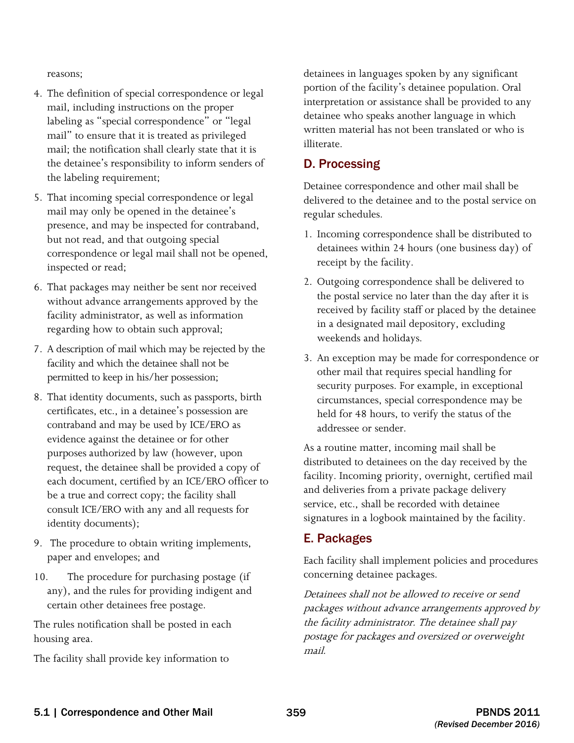reasons;

- 4. The definition of special correspondence or legal mail, including instructions on the proper labeling as "special correspondence" or "legal mail" to ensure that it is treated as privileged mail; the notification shall clearly state that it is the detainee's responsibility to inform senders of the labeling requirement;
- 5. That incoming special correspondence or legal mail may only be opened in the detainee's presence, and may be inspected for contraband, but not read, and that outgoing special correspondence or legal mail shall not be opened, inspected or read;
- 6. That packages may neither be sent nor received without advance arrangements approved by the facility administrator, as well as information regarding how to obtain such approval;
- 7. A description of mail which may be rejected by the facility and which the detainee shall not be permitted to keep in his/her possession;
- contraband and may be used by ICE/ERO as evidence against the detainee or for other purposes authorized by law (however, upon request, the detainee shall be provided a copy of be a true and correct copy; the facility shall consult ICE/ERO with any and all requests for 8. That identity documents, such as passports, birth certificates, etc., in a detainee's possession are each document, certified by an ICE/ERO officer to identity documents);
- 9. The procedure to obtain writing implements, paper and envelopes; and
- any), and the rules for providing indigent and 10. The procedure for purchasing postage (if certain other detainees free postage.

The rules notification shall be posted in each housing area.

The facility shall provide key information to

detainees in languages spoken by any significant portion of the facility's detainee population. Oral interpretation or assistance shall be provided to any detainee who speaks another language in which written material has not been translated or who is illiterate.

### D. Processing

Detainee correspondence and other mail shall be delivered to the detainee and to the postal service on regular schedules.

- 1. Incoming correspondence shall be distributed to detainees within 24 hours (one business day) of receipt by the facility.
- 2. Outgoing correspondence shall be delivered to the postal service no later than the day after it is received by facility staff or placed by the detainee in a designated mail depository, excluding weekends and holidays.
- 3. An exception may be made for correspondence or other mail that requires special handling for security purposes. For example, in exceptional circumstances, special correspondence may be held for 48 hours, to verify the status of the addressee or sender.

As a routine matter, incoming mail shall be distributed to detainees on the day received by the facility. Incoming priority, overnight, certified mail and deliveries from a private package delivery service, etc., shall be recorded with detainee signatures in a logbook maintained by the facility.

## E. Packages

Each facility shall implement policies and procedures concerning detainee packages.

Detainees shall not be allowed to receive or send packages without advance arrangements approved by the facility administrator. The detainee shall pay postage for packages and oversized or overweight mail.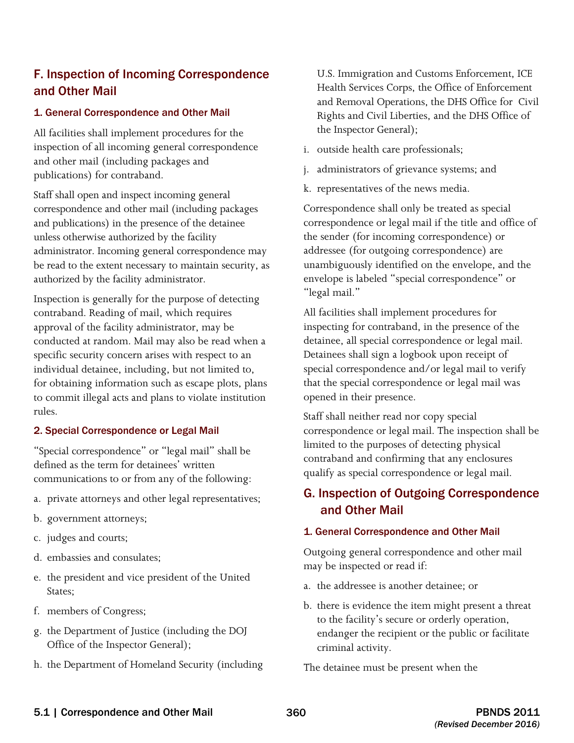# F. Inspection of Incoming Correspondence and Other Mail

#### 1. General Correspondence and Other Mail

All facilities shall implement procedures for the inspection of all incoming general correspondence and other mail (including packages and publications) for contraband.

 be read to the extent necessary to maintain security, as Staff shall open and inspect incoming general correspondence and other mail (including packages and publications) in the presence of the detainee unless otherwise authorized by the facility administrator. Incoming general correspondence may authorized by the facility administrator.

 conducted at random. Mail may also be read when a Inspection is generally for the purpose of detecting contraband. Reading of mail, which requires approval of the facility administrator, may be specific security concern arises with respect to an individual detainee, including, but not limited to, for obtaining information such as escape plots, plans to commit illegal acts and plans to violate institution rules.

#### 2. Special Correspondence or Legal Mail

 "Special correspondence" or "legal mail" shall be communications to or from any of the following: defined as the term for detainees' written

- a. private attorneys and other legal representatives;
- b. government attorneys;
- c. judges and courts;
- d. embassies and consulates;
- e. the president and vice president of the United States;
- f. members of Congress;
- g. the Department of Justice (including the DOJ Office of the Inspector General);
- h. the Department of Homeland Security (including

 and Removal Operations, the DHS Office for Civil Rights and Civil Liberties, and the DHS Office of U.S. Immigration and Customs Enforcement, ICE Health Services Corps, the Office of Enforcement the Inspector General);

- i. outside health care professionals;
- j. administrators of grievance systems; and
- k. representatives of the news media.

Correspondence shall only be treated as special correspondence or legal mail if the title and office of the sender (for incoming correspondence) or addressee (for outgoing correspondence) are unambiguously identified on the envelope, and the envelope is labeled "special correspondence" or "legal mail."

opened in their presence. All facilities shall implement procedures for inspecting for contraband, in the presence of the detainee, all special correspondence or legal mail. Detainees shall sign a logbook upon receipt of special correspondence and/or legal mail to verify that the special correspondence or legal mail was

Staff shall neither read nor copy special correspondence or legal mail. The inspection shall be limited to the purposes of detecting physical contraband and confirming that any enclosures qualify as special correspondence or legal mail.

# G. Inspection of Outgoing Correspondence and Other Mail

#### 1. General Correspondence and Other Mail

Outgoing general correspondence and other mail may be inspected or read if:

- a. the addressee is another detainee; or
- b. there is evidence the item might present a threat to the facility's secure or orderly operation, endanger the recipient or the public or facilitate criminal activity.

The detainee must be present when the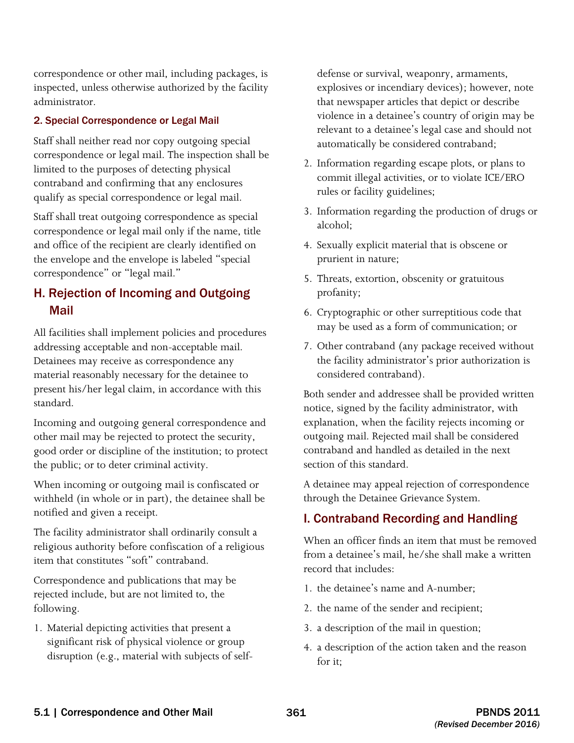correspondence or other mail, including packages, is inspected, unless otherwise authorized by the facility administrator.

#### 2. Special Correspondence or Legal Mail

Staff shall neither read nor copy outgoing special correspondence or legal mail. The inspection shall be limited to the purposes of detecting physical contraband and confirming that any enclosures qualify as special correspondence or legal mail.

Staff shall treat outgoing correspondence as special correspondence or legal mail only if the name, title and office of the recipient are clearly identified on the envelope and the envelope is labeled "special correspondence" or "legal mail."

# H. Rejection of Incoming and Outgoing Mail

All facilities shall implement policies and procedures addressing acceptable and non-acceptable mail. Detainees may receive as correspondence any material reasonably necessary for the detainee to present his/her legal claim, in accordance with this standard.

Incoming and outgoing general correspondence and other mail may be rejected to protect the security, good order or discipline of the institution; to protect the public; or to deter criminal activity.

When incoming or outgoing mail is confiscated or withheld (in whole or in part), the detainee shall be notified and given a receipt.

The facility administrator shall ordinarily consult a religious authority before confiscation of a religious item that constitutes "soft" contraband.

Correspondence and publications that may be rejected include, but are not limited to, the following.

1. Material depicting activities that present a significant risk of physical violence or group disruption (e.g., material with subjects of selfdefense or survival, weaponry, armaments, explosives or incendiary devices); however, note that newspaper articles that depict or describe violence in a detainee's country of origin may be relevant to a detainee's legal case and should not automatically be considered contraband;

- 2. Information regarding escape plots, or plans to commit illegal activities, or to violate ICE/ERO rules or facility guidelines;
- 3. Information regarding the production of drugs or alcohol;
- 4. Sexually explicit material that is obscene or prurient in nature;
- 5. Threats, extortion, obscenity or gratuitous profanity;
- 6. Cryptographic or other surreptitious code that may be used as a form of communication; or
- 7. Other contraband (any package received without the facility administrator's prior authorization is considered contraband).

Both sender and addressee shall be provided written notice, signed by the facility administrator, with explanation, when the facility rejects incoming or outgoing mail. Rejected mail shall be considered contraband and handled as detailed in the next section of this standard.

A detainee may appeal rejection of correspondence through the Detainee Grievance System.

## I. Contraband Recording and Handling

When an officer finds an item that must be removed from a detainee's mail, he/she shall make a written record that includes:

- 1. the detainee's name and A-number;
- 2. the name of the sender and recipient;
- 3. a description of the mail in question;
- 4. a description of the action taken and the reason for it;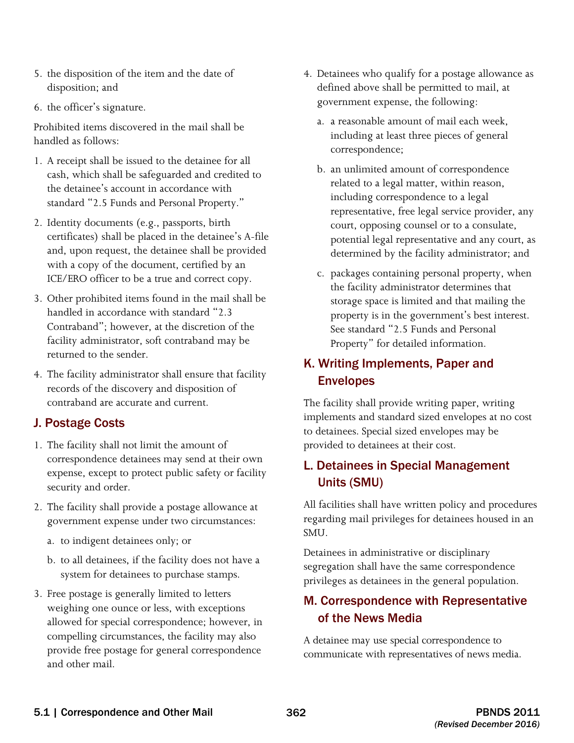- 5. the disposition of the item and the date of disposition; and
- 6. the officer's signature.

Prohibited items discovered in the mail shall be handled as follows:

- 1. A receipt shall be issued to the detainee for all cash, which shall be safeguarded and credited to the detainee's account in accordance with standard "2.5 Funds and Personal Property."
- 2. Identity documents (e.g., passports, birth certificates) shall be placed in the detainee's A-file and, upon request, the detainee shall be provided with a copy of the document, certified by an ICE/ERO officer to be a true and correct copy.
- 3. Other prohibited items found in the mail shall be handled in accordance with standard "2.3 Contraband"; however, at the discretion of the facility administrator, soft contraband may be returned to the sender.
- 4. The facility administrator shall ensure that facility records of the discovery and disposition of contraband are accurate and current.

# J. Postage Costs

- 1. The facility shall not limit the amount of correspondence detainees may send at their own expense, except to protect public safety or facility security and order.
- 2. The facility shall provide a postage allowance at government expense under two circumstances:
	- a. to indigent detainees only; or
	- b. to all detainees, if the facility does not have a system for detainees to purchase stamps.
- 3. Free postage is generally limited to letters weighing one ounce or less, with exceptions allowed for special correspondence; however, in compelling circumstances, the facility may also provide free postage for general correspondence and other mail.
- 4. Detainees who qualify for a postage allowance as defined above shall be permitted to mail, at government expense, the following:
	- a. a reasonable amount of mail each week, including at least three pieces of general correspondence;
	- potential legal representative and any court, as b. an unlimited amount of correspondence related to a legal matter, within reason, including correspondence to a legal representative, free legal service provider, any court, opposing counsel or to a consulate, determined by the facility administrator; and
	- c. packages containing personal property, when the facility administrator determines that storage space is limited and that mailing the property is in the government's best interest. See standard "2.5 Funds and Personal Property" for detailed information.

# K. Writing Implements, Paper and Envelopes

The facility shall provide writing paper, writing implements and standard sized envelopes at no cost to detainees. Special sized envelopes may be provided to detainees at their cost.

# L. Detainees in Special Management Units (SMU)

All facilities shall have written policy and procedures regarding mail privileges for detainees housed in an SMU.

Detainees in administrative or disciplinary segregation shall have the same correspondence privileges as detainees in the general population.

# M. Correspondence with Representative of the News Media

 A detainee may use special correspondence to communicate with representatives of news media.